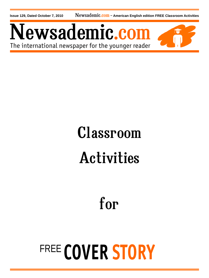**Issue 129, Dated October 7, 2010** Newsademic.com - American English edition FREE Classroom Activities

Newsademic.com The international newspaper for the younger reader



# Classroom Activities

for

# FREE **COVER STORY**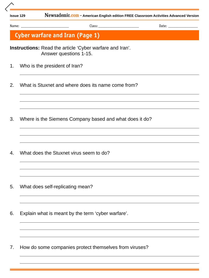**Issue 129** Newsademic.com **– American English edition FREE Classroom Activities Advanced Version**

Name: \_\_\_\_\_\_\_\_\_\_\_\_\_\_\_\_\_\_\_\_\_\_\_\_\_\_ Class: \_\_\_\_\_\_\_\_\_\_\_\_\_\_\_\_\_\_\_\_\_\_ Date: \_\_\_\_\_\_\_\_\_\_\_\_\_\_\_\_

**Cyber warfare and Iran (Page 1)** 

**Instructions:** Read the article 'Cyber warfare and Iran'. Answer questions 1-15.

1. Who is the president of Iran?

2. What is Stuxnet and where does its name come from?

3. Where is the Siemens Company based and what does it do?

4. What does the Stuxnet virus seem to do?

- 5. What does self-replicating mean?
- 6. Explain what is meant by the term 'cyber warfare'.

7. How do some companies protect themselves from viruses?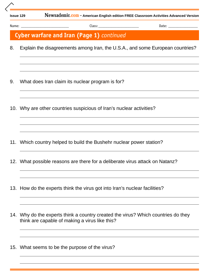| <b>Issue 129</b> |
|------------------|
|------------------|

**Newsademic.com - American English edition FREE Classroom Activities Advanced Version** 

Name: \_\_\_\_\_\_\_\_\_\_\_\_\_\_\_\_\_\_\_\_\_\_\_\_\_\_ Class: \_\_\_\_\_\_\_\_\_\_\_\_\_\_\_\_\_\_\_\_\_\_ Date: \_\_\_\_\_\_\_\_\_\_\_\_\_\_\_\_

### **Cyber warfare and Iran (Page 1)** *continued*

8. Explain the disagreements among Iran, the U.S.A., and some European countries?

- 9. What does Iran claim its nuclear program is for?
- 10. Why are other countries suspicious of Iran's nuclear activities?
- 11. Which country helped to build the Bushehr nuclear power station?
- 12. What possible reasons are there for a deliberate virus attack on Natanz?
- 13. How do the experts think the virus got into Iran's nuclear facilities?
- 14. Why do the experts think a country created the virus? Which countries do they think are capable of making a virus like this?
- 15. What seems to be the purpose of the virus?